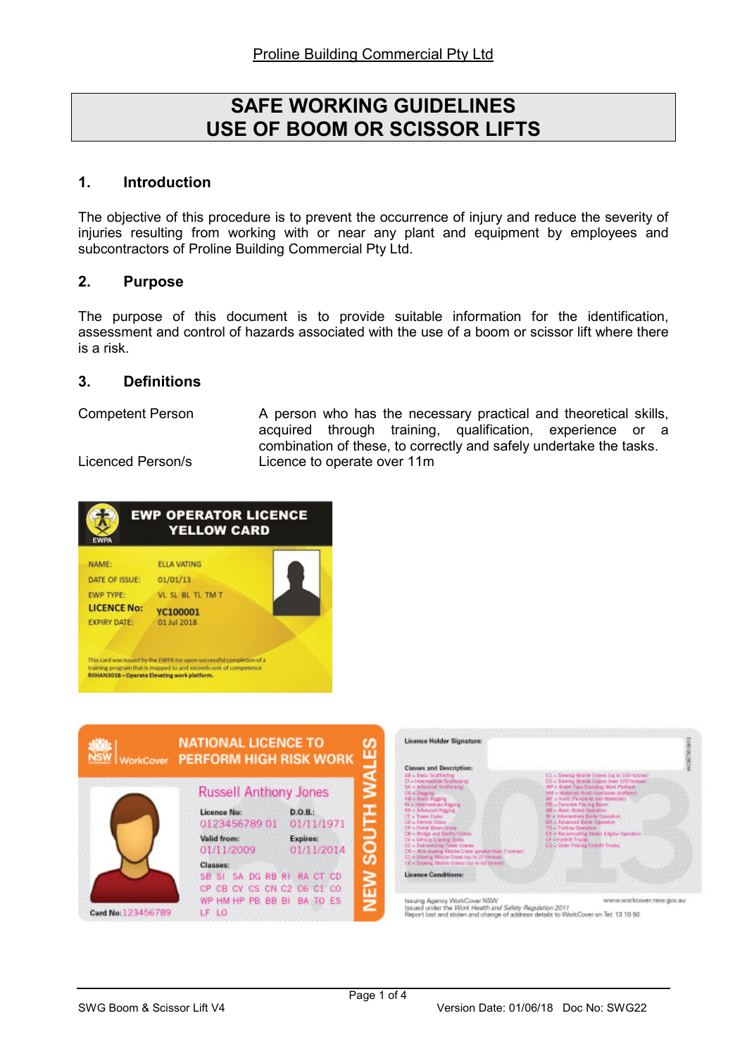# SAFE WORKING GUIDELINES USE OF BOOM OR SCISSOR LIFTS

# 1. Introduction

The objective of this procedure is to prevent the occurrence of injury and reduce the severity of injuries resulting from working with or near any plant and equipment by employees and subcontractors of Proline Building Commercial Pty Ltd.

# 2. Purpose

The purpose of this document is to provide suitable information for the identification, assessment and control of hazards associated with the use of a boom or scissor lift where there is a risk.

#### 3. Definitions

Competent Person A person who has the necessary practical and theoretical skills, acquired through training, qualification, experience or a combination of these, to correctly and safely undertake the tasks. Licenced Person/s Licence to operate over 11m





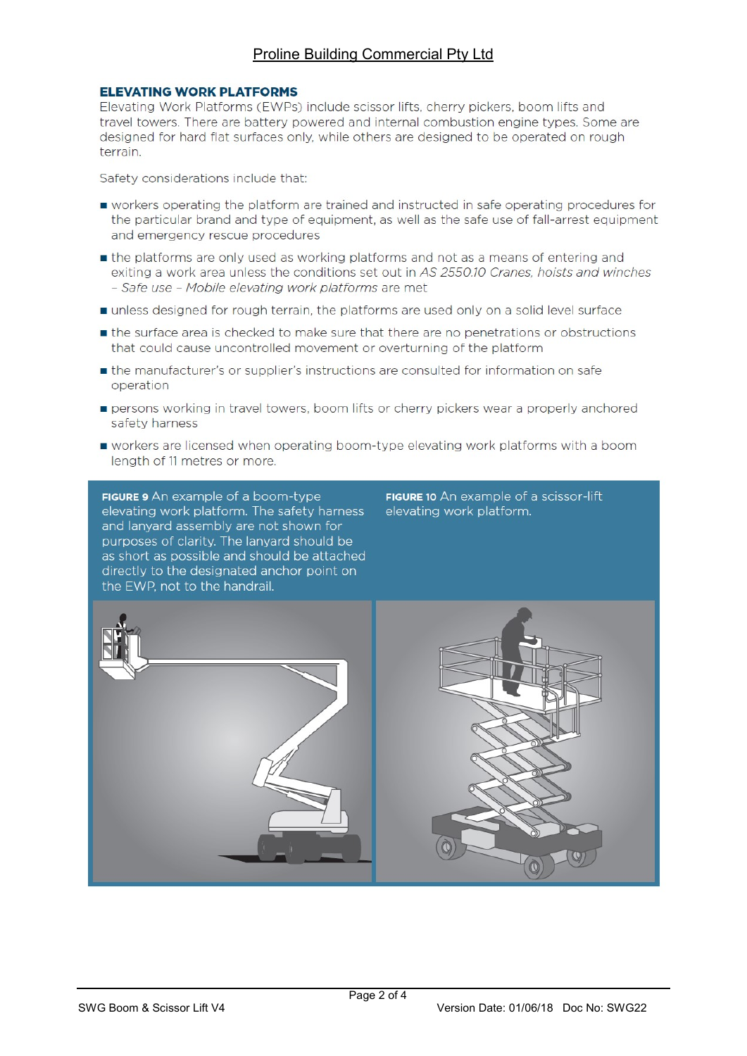# Proline Building Commercial Pty Ltd

#### **ELEVATING WORK PLATFORMS**

Elevating Work Platforms (EWPs) include scissor lifts, cherry pickers, boom lifts and travel towers. There are battery powered and internal combustion engine types. Some are designed for hard flat surfaces only, while others are designed to be operated on rough terrain.

Safety considerations include that:

- workers operating the platform are trained and instructed in safe operating procedures for the particular brand and type of equipment, as well as the safe use of fall-arrest equipment and emergency rescue procedures
- the platforms are only used as working platforms and not as a means of entering and exiting a work area unless the conditions set out in AS 2550.10 Cranes, hoists and winches - Safe use - Mobile elevating work platforms are met
- unless designed for rough terrain, the platforms are used only on a solid level surface
- the surface area is checked to make sure that there are no penetrations or obstructions that could cause uncontrolled movement or overturning of the platform
- the manufacturer's or supplier's instructions are consulted for information on safe operation
- persons working in travel towers, boom lifts or cherry pickers wear a properly anchored safety harness
- workers are licensed when operating boom-type elevating work platforms with a boom length of 11 metres or more.

FIGURE 9 An example of a boom-type elevating work platform. The safety harness and lanyard assembly are not shown for purposes of clarity. The lanyard should be as short as possible and should be attached directly to the designated anchor point on the EWP, not to the handrail.

FIGURE 10 An example of a scissor-lift elevating work platform.

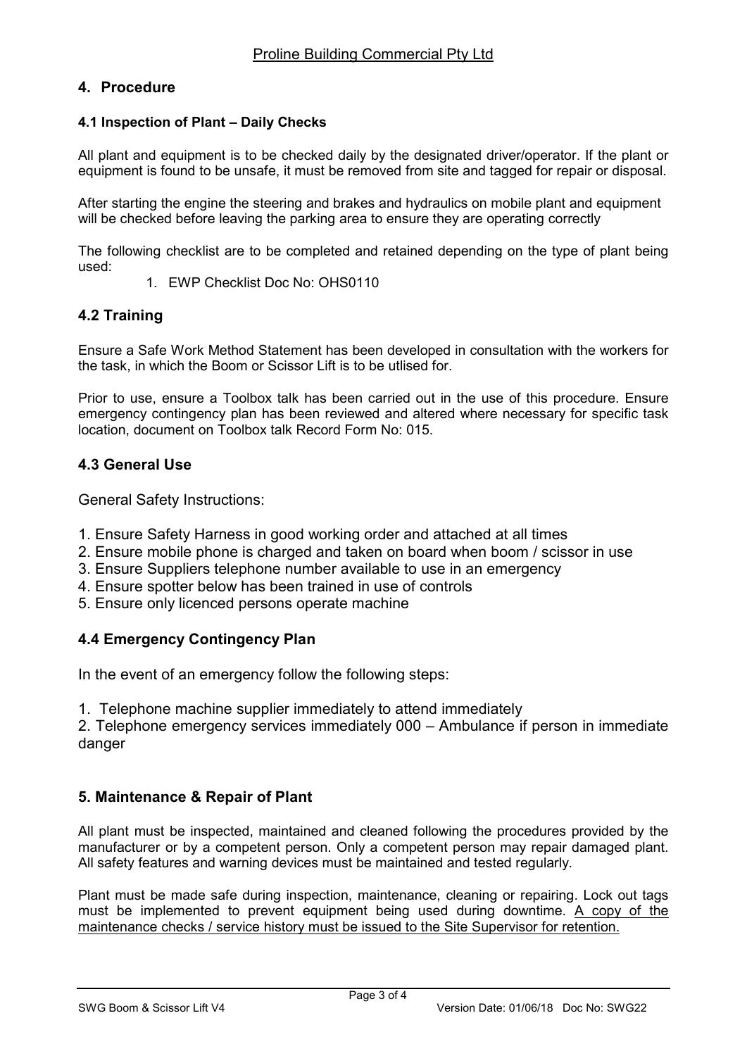# 4. Procedure

# 4.1 Inspection of Plant – Daily Checks

All plant and equipment is to be checked daily by the designated driver/operator. If the plant or equipment is found to be unsafe, it must be removed from site and tagged for repair or disposal.

After starting the engine the steering and brakes and hydraulics on mobile plant and equipment will be checked before leaving the parking area to ensure they are operating correctly

The following checklist are to be completed and retained depending on the type of plant being used:

1. EWP Checklist Doc No: OHS0110

# 4.2 Training

Ensure a Safe Work Method Statement has been developed in consultation with the workers for the task, in which the Boom or Scissor Lift is to be utlised for.

Prior to use, ensure a Toolbox talk has been carried out in the use of this procedure. Ensure emergency contingency plan has been reviewed and altered where necessary for specific task location, document on Toolbox talk Record Form No: 015.

# 4.3 General Use

General Safety Instructions:

- 1. Ensure Safety Harness in good working order and attached at all times
- 2. Ensure mobile phone is charged and taken on board when boom / scissor in use
- 3. Ensure Suppliers telephone number available to use in an emergency
- 4. Ensure spotter below has been trained in use of controls
- 5. Ensure only licenced persons operate machine

#### 4.4 Emergency Contingency Plan

In the event of an emergency follow the following steps:

1. Telephone machine supplier immediately to attend immediately

2. Telephone emergency services immediately 000 – Ambulance if person in immediate danger

#### 5. Maintenance & Repair of Plant

All plant must be inspected, maintained and cleaned following the procedures provided by the manufacturer or by a competent person. Only a competent person may repair damaged plant. All safety features and warning devices must be maintained and tested regularly.

Plant must be made safe during inspection, maintenance, cleaning or repairing. Lock out tags must be implemented to prevent equipment being used during downtime. A copy of the maintenance checks / service history must be issued to the Site Supervisor for retention.